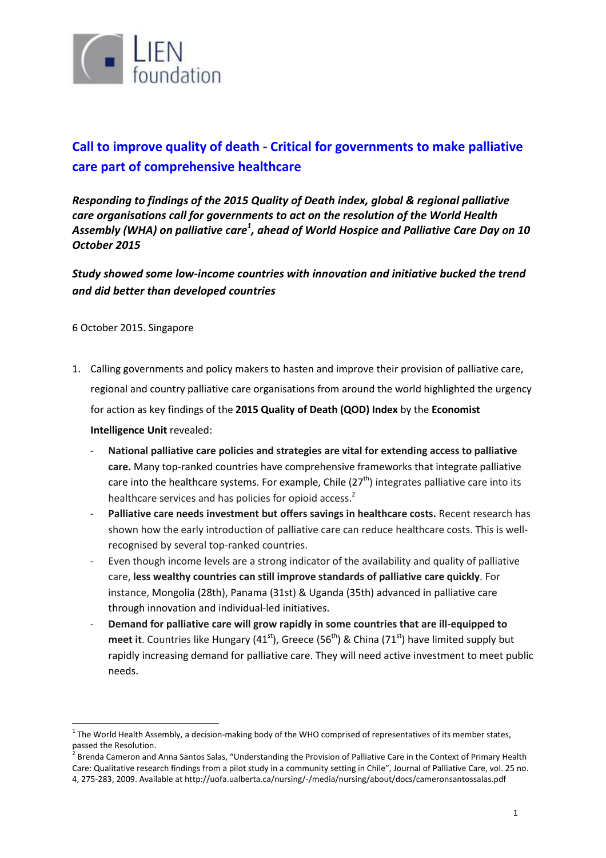

# **Call to improve quality of death - Critical for governments to make palliative care part of comprehensive healthcare**

*Responding to findings of the 2015 Quality of Death index, global & regional palliative care organisations call for governments to act on the resolution of the World Health Assembly (WHA) on palliative care<sup>1</sup> , ahead of World Hospice and Palliative Care Day on 10 October 2015*

*Study showed some low-income countries with innovation and initiative bucked the trend and did better than developed countries*

6 October 2015. Singapore

 $\overline{a}$ 

- 1. Calling governments and policy makers to hasten and improve their provision of palliative care, regional and country palliative care organisations from around the world highlighted the urgency for action as key findings of the **2015 Quality of Death (QOD) Index** by the **Economist Intelligence Unit** revealed:
	- **National palliative care policies and strategies are vital for extending access to palliative care.** Many top-ranked countries have comprehensive frameworks that integrate palliative care into the healthcare systems. For example, Chile  $(27<sup>th</sup>)$  integrates palliative care into its healthcare services and has policies for opioid access.<sup>2</sup>
	- **Palliative care needs investment but offers savings in healthcare costs.** Recent research has shown how the early introduction of palliative care can reduce healthcare costs. This is wellrecognised by several top-ranked countries.
	- Even though income levels are a strong indicator of the availability and quality of palliative care, **less wealthy countries can still improve standards of palliative care quickly**. For instance, Mongolia (28th), Panama (31st) & Uganda (35th) advanced in palliative care through innovation and individual-led initiatives.
	- **Demand for palliative care will grow rapidly in some countries that are ill-equipped to meet it**. Countries like Hungary (41<sup>st</sup>), Greece (56<sup>th</sup>) & China (71<sup>st</sup>) have limited supply but rapidly increasing demand for palliative care. They will need active investment to meet public needs.

 $1$  The World Health Assembly, a decision-making body of the WHO comprised of representatives of its member states, passed the Resolution.

<sup>&</sup>lt;sup>2</sup> Brenda Cameron and Anna Santos Salas, "Understanding the Provision of Palliative Care in the Context of Primary Health Care: Qualitative research findings from a pilot study in a community setting in Chile", Journal of Palliative Care, vol. 25 no. 4, 275-283, 2009. Available at http://uofa.ualberta.ca/nursing/-/media/nursing/about/docs/cameronsantossalas.pdf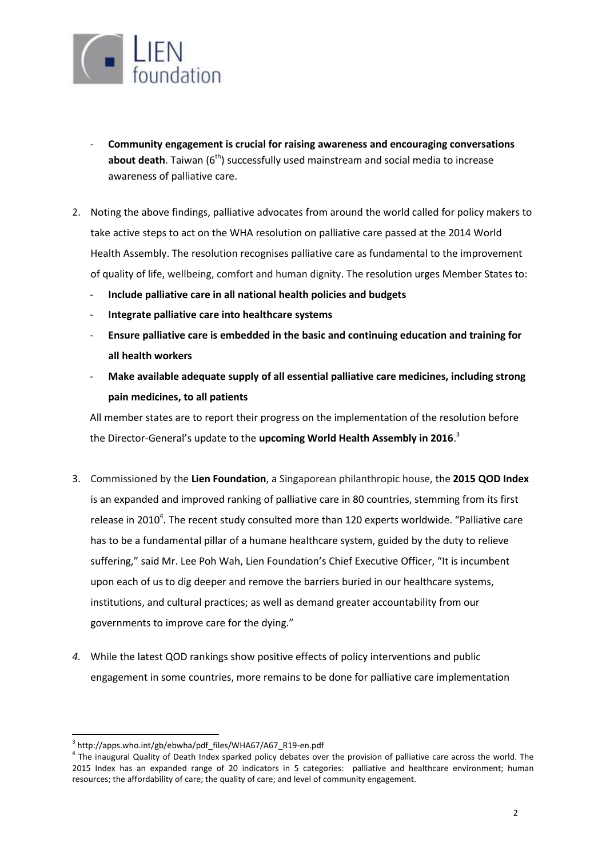

- **Community engagement is crucial for raising awareness and encouraging conversations about death**. Taiwan (6<sup>th</sup>) successfully used mainstream and social media to increase awareness of palliative care.
- 2. Noting the above findings, palliative advocates from around the world called for policy makers to take active steps to act on the WHA resolution on palliative care passed at the 2014 World Health Assembly. The resolution recognises palliative care as fundamental to the improvement of quality of life, wellbeing, comfort and human dignity. The resolution urges Member States to:
	- **Include palliative care in all national health policies and budgets**
	- **Integrate palliative care into healthcare systems**
	- **Ensure palliative care is embedded in the basic and continuing education and training for all health workers**
	- **Make available adequate supply of all essential palliative care medicines, including strong pain medicines, to all patients**

All member states are to report their progress on the implementation of the resolution before the Director-General's update to the **upcoming World Health Assembly in 2016**. 3

- 3. Commissioned by the **Lien Foundation**, a Singaporean philanthropic house, the **2015 QOD Index** is an expanded and improved ranking of palliative care in 80 countries, stemming from its first release in 2010<sup>4</sup>. The recent study consulted more than 120 experts worldwide. "Palliative care has to be a fundamental pillar of a humane healthcare system, guided by the duty to relieve suffering," said Mr. Lee Poh Wah, Lien Foundation's Chief Executive Officer, "It is incumbent upon each of us to dig deeper and remove the barriers buried in our healthcare systems, institutions, and cultural practices; as well as demand greater accountability from our governments to improve care for the dying."
- *4.* While the latest QOD rankings show positive effects of policy interventions and public engagement in some countries, more remains to be done for palliative care implementation

 $\overline{\phantom{a}}$ 

<sup>&</sup>lt;sup>3</sup> http://apps.who.int/gb/ebwha/pdf\_files/WHA67/A67\_R19-en.pdf

<sup>&</sup>lt;sup>4</sup> The inaugural Quality of Death Index sparked policy debates over the provision of palliative care across the world. The 2015 Index has an expanded range of 20 indicators in 5 categories: palliative and healthcare environment; human resources; the affordability of care; the quality of care; and level of community engagement.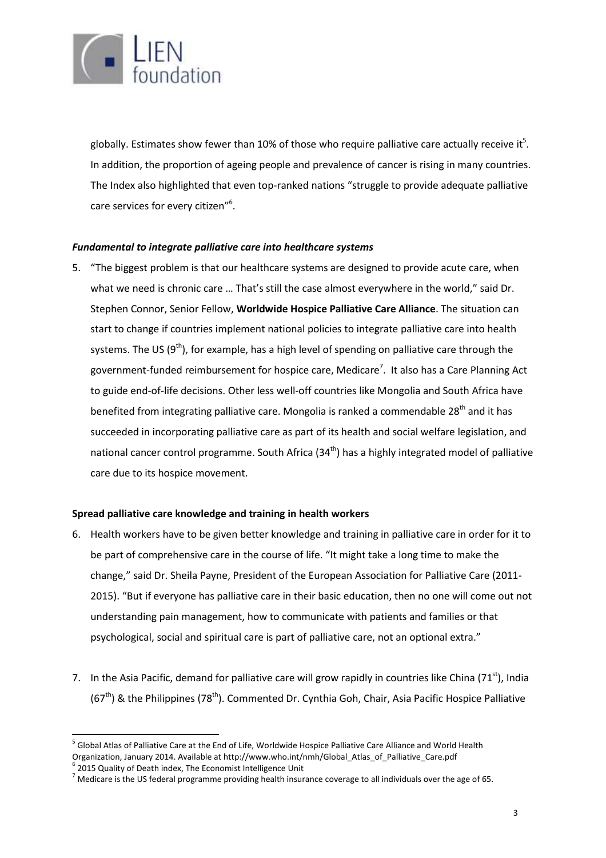

globally. Estimates show fewer than 10% of those who require palliative care actually receive it $^5$ . In addition, the proportion of ageing people and prevalence of cancer is rising in many countries. The Index also highlighted that even top-ranked nations "struggle to provide adequate palliative care services for every citizen"<sup>6</sup>.

# *Fundamental to integrate palliative care into healthcare systems*

5. "The biggest problem is that our healthcare systems are designed to provide acute care, when what we need is chronic care … That's still the case almost everywhere in the world," said Dr. Stephen Connor, Senior Fellow, **Worldwide Hospice Palliative Care Alliance**. The situation can start to change if countries implement national policies to integrate palliative care into health systems. The US  $(9<sup>th</sup>)$ , for example, has a high level of spending on palliative care through the government-funded reimbursement for hospice care, Medicare<sup>7</sup>. It also has a Care Planning Act to guide end-of-life decisions. Other less well-off countries like Mongolia and South Africa have benefited from integrating palliative care. Mongolia is ranked a commendable 28<sup>th</sup> and it has succeeded in incorporating palliative care as part of its health and social welfare legislation, and national cancer control programme. South Africa  $(34<sup>th</sup>)$  has a highly integrated model of palliative care due to its hospice movement.

# **Spread palliative care knowledge and training in health workers**

- 6. Health workers have to be given better knowledge and training in palliative care in order for it to be part of comprehensive care in the course of life. "It might take a long time to make the change," said Dr. Sheila Payne, President of the European Association for Palliative Care (2011- 2015). "But if everyone has palliative care in their basic education, then no one will come out not understanding pain management, how to communicate with patients and families or that psychological, social and spiritual care is part of palliative care, not an optional extra."
- 7. In the Asia Pacific, demand for palliative care will grow rapidly in countries like China (71 $^{st}$ ), India  $(67<sup>th</sup>)$  & the Philippines (78<sup>th</sup>). Commented Dr. Cynthia Goh, Chair, Asia Pacific Hospice Palliative

 $\overline{\phantom{a}}$ 

<sup>&</sup>lt;sup>5</sup> Global Atlas of Palliative Care at the End of Life, Worldwide Hospice Palliative Care Alliance and World Health Organization, January 2014. Available at http://www.who.int/nmh/Global\_Atlas\_of\_Palliative\_Care.pdf

<sup>&</sup>lt;sup>6</sup> 2015 Quality of Death index, The Economist Intelligence Unit

 $^7$  Medicare is the US federal programme providing health insurance coverage to all individuals over the age of 65.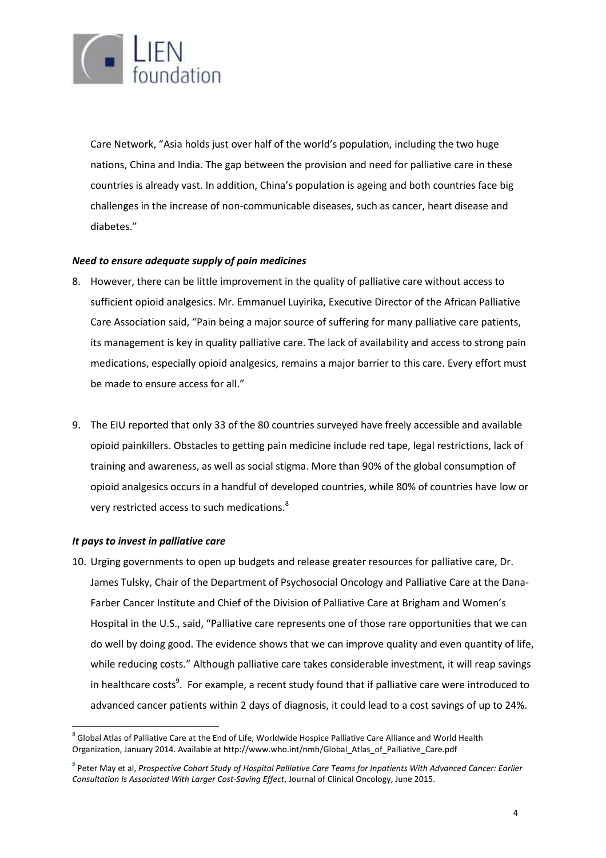

Care Network, "Asia holds just over half of the world's population, including the two huge nations, China and India. The gap between the provision and need for palliative care in these countries is already vast. In addition, China's population is ageing and both countries face big challenges in the increase of non-communicable diseases, such as cancer, heart disease and diabetes."

# *Need to ensure adequate supply of pain medicines*

- 8. However, there can be little improvement in the quality of palliative care without access to sufficient opioid analgesics. Mr. Emmanuel Luyirika, Executive Director of the African Palliative Care Association said, "Pain being a major source of suffering for many palliative care patients, its management is key in quality palliative care. The lack of availability and access to strong pain medications, especially opioid analgesics, remains a major barrier to this care. Every effort must be made to ensure access for all."
- 9. The EIU reported that only 33 of the 80 countries surveyed have freely accessible and available opioid painkillers. Obstacles to getting pain medicine include red tape, legal restrictions, lack of training and awareness, as well as social stigma. More than 90% of the global consumption of opioid analgesics occurs in a handful of developed countries, while 80% of countries have low or very restricted access to such medications. $^{8}$

# *It pays to invest in palliative care*

 $\overline{\phantom{a}}$ 

10. Urging governments to open up budgets and release greater resources for palliative care, Dr. James Tulsky, Chair of the Department of Psychosocial Oncology and Palliative Care at the Dana-Farber Cancer Institute and Chief of the Division of Palliative Care at Brigham and Women's Hospital in the U.S., said, "Palliative care represents one of those rare opportunities that we can do well by doing good. The evidence shows that we can improve quality and even quantity of life, while reducing costs." Although palliative care takes considerable investment, it will reap savings in healthcare costs<sup>9</sup>. For example, a recent study found that if palliative care were introduced to advanced cancer patients within 2 days of diagnosis, it could lead to a cost savings of up to 24%.

 $^8$  Global Atlas of Palliative Care at the End of Life, Worldwide Hospice Palliative Care Alliance and World Health Organization, January 2014. Available at http://www.who.int/nmh/Global\_Atlas\_of\_Palliative\_Care.pdf

<sup>&</sup>lt;sup>9</sup> Peter May et al, *Prospective Cohort Study of Hospital Palliative Care Teams for Inpatients With Advanced Cancer: Earlier Consultation Is Associated With Larger Cost-Saving Effect*, Journal of Clinical Oncology, June 2015.